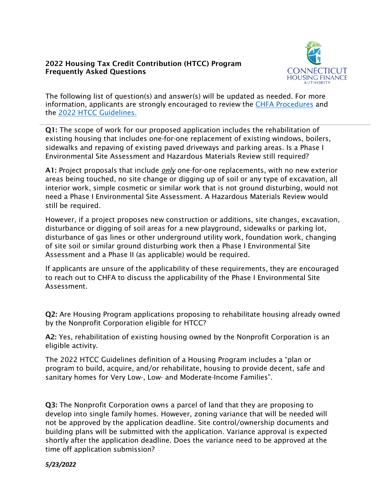## 2022 Housing Tax Credit Contribution (HTCC) Program Frequently Asked Questions



The following list of question(s) and answer(s) will be updated as needed. For more information, applicants are strongly encouraged to review the [CHFA Procedures](http://www.chfa.org/assets/1/6/CHFA_Procedures_(As_of_January_28,_2021).pdf) and the [2022 HTCC Guidelines.](https://www.chfa.org/assets/1/6/2022_FINAL_HTCC_Round_Guidelines.pdf?10749) 

Q1: The scope of work for our proposed application includes the rehabilitation of existing housing that includes one-for-one replacement of existing windows, boilers, sidewalks and repaving of existing paved driveways and parking areas. Is a Phase I Environmental Site Assessment and Hazardous Materials Review still required?

A1: Project proposals that include *only* one-for-one replacements, with no new exterior areas being touched, no site change or digging up of soil or any type of excavation, all interior work, simple cosmetic or similar work that is not ground disturbing, would not need a Phase I Environmental Site Assessment. A Hazardous Materials Review would still be required.

However, if a project proposes new construction or additions, site changes, excavation, disturbance or digging of soil areas for a new playground, sidewalks or parking lot, disturbance of gas lines or other underground utility work, foundation work, changing of site soil or similar ground disturbing work then a Phase I Environmental Site Assessment and a Phase II (as applicable) would be required.

If applicants are unsure of the applicability of these requirements, they are encouraged to reach out to CHFA to discuss the applicability of the Phase I Environmental Site Assessment.

Q2: Are Housing Program applications proposing to rehabilitate housing already owned by the Nonprofit Corporation eligible for HTCC?

A2: Yes, rehabilitation of existing housing owned by the Nonprofit Corporation is an eligible activity.

The 2022 HTCC Guidelines definition of a Housing Program includes a "plan or program to build, acquire, and/or rehabilitate, housing to provide decent, safe and sanitary homes for Very Low-, Low- and Moderate-Income Families".

Q3: The Nonprofit Corporation owns a parcel of land that they are proposing to develop into single family homes. However, zoning variance that will be needed will not be approved by the application deadline. Site control/ownership documents and building plans will be submitted with the application. Variance approval is expected shortly after the application deadline. Does the variance need to be approved at the time off application submission?

*5/23/2022*